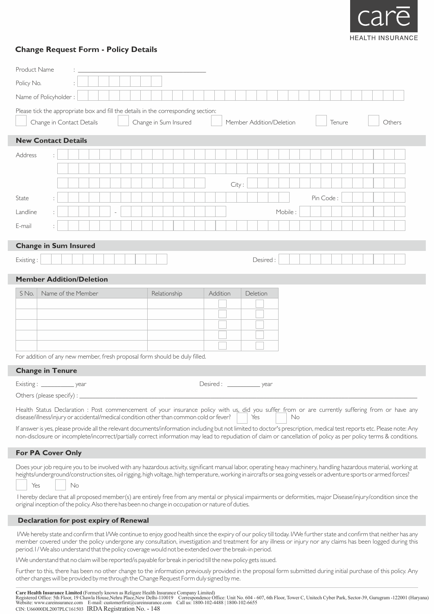

## **Change Request Form - Policy Details**

| <b>Product Name</b>                                                                                                                                                                                                                                                                                                                                                                                                                                                                                                                                                                                                       |                           |                    |  |  |  |                       |              |  |  |                              |          |       |     |          |  |                          |    |           |        |  |  |        |  |
|---------------------------------------------------------------------------------------------------------------------------------------------------------------------------------------------------------------------------------------------------------------------------------------------------------------------------------------------------------------------------------------------------------------------------------------------------------------------------------------------------------------------------------------------------------------------------------------------------------------------------|---------------------------|--------------------|--|--|--|-----------------------|--------------|--|--|------------------------------|----------|-------|-----|----------|--|--------------------------|----|-----------|--------|--|--|--------|--|
| Policy No.                                                                                                                                                                                                                                                                                                                                                                                                                                                                                                                                                                                                                |                           |                    |  |  |  |                       |              |  |  |                              |          |       |     |          |  |                          |    |           |        |  |  |        |  |
| Name of Policyholder:                                                                                                                                                                                                                                                                                                                                                                                                                                                                                                                                                                                                     |                           |                    |  |  |  |                       |              |  |  |                              |          |       |     |          |  |                          |    |           |        |  |  |        |  |
| Please tick the appropriate box and fill the details in the corresponding section:                                                                                                                                                                                                                                                                                                                                                                                                                                                                                                                                        |                           |                    |  |  |  |                       |              |  |  |                              |          |       |     |          |  |                          |    |           |        |  |  |        |  |
|                                                                                                                                                                                                                                                                                                                                                                                                                                                                                                                                                                                                                           | Change in Contact Details |                    |  |  |  | Change in Sum Insured |              |  |  |                              |          |       |     |          |  | Member Addition/Deletion |    |           | Tenure |  |  | Others |  |
| <b>New Contact Details</b>                                                                                                                                                                                                                                                                                                                                                                                                                                                                                                                                                                                                |                           |                    |  |  |  |                       |              |  |  |                              |          |       |     |          |  |                          |    |           |        |  |  |        |  |
| Address                                                                                                                                                                                                                                                                                                                                                                                                                                                                                                                                                                                                                   |                           |                    |  |  |  |                       |              |  |  |                              |          |       |     |          |  |                          |    |           |        |  |  |        |  |
|                                                                                                                                                                                                                                                                                                                                                                                                                                                                                                                                                                                                                           |                           |                    |  |  |  |                       |              |  |  |                              |          |       |     |          |  |                          |    |           |        |  |  |        |  |
|                                                                                                                                                                                                                                                                                                                                                                                                                                                                                                                                                                                                                           |                           |                    |  |  |  |                       |              |  |  |                              |          | City: |     |          |  |                          |    |           |        |  |  |        |  |
| State                                                                                                                                                                                                                                                                                                                                                                                                                                                                                                                                                                                                                     |                           |                    |  |  |  |                       |              |  |  |                              |          |       |     |          |  |                          |    | Pin Code: |        |  |  |        |  |
| Landline                                                                                                                                                                                                                                                                                                                                                                                                                                                                                                                                                                                                                  |                           |                    |  |  |  |                       |              |  |  |                              |          |       |     |          |  | Mobile:                  |    |           |        |  |  |        |  |
| E-mail                                                                                                                                                                                                                                                                                                                                                                                                                                                                                                                                                                                                                    |                           |                    |  |  |  |                       |              |  |  |                              |          |       |     |          |  |                          |    |           |        |  |  |        |  |
|                                                                                                                                                                                                                                                                                                                                                                                                                                                                                                                                                                                                                           |                           |                    |  |  |  |                       |              |  |  |                              |          |       |     |          |  |                          |    |           |        |  |  |        |  |
| <b>Change in Sum Insured</b>                                                                                                                                                                                                                                                                                                                                                                                                                                                                                                                                                                                              |                           |                    |  |  |  |                       |              |  |  |                              |          |       |     |          |  |                          |    |           |        |  |  |        |  |
| Existing:                                                                                                                                                                                                                                                                                                                                                                                                                                                                                                                                                                                                                 |                           |                    |  |  |  |                       |              |  |  |                              |          |       |     | Desired: |  |                          |    |           |        |  |  |        |  |
| <b>Member Addition/Deletion</b>                                                                                                                                                                                                                                                                                                                                                                                                                                                                                                                                                                                           |                           |                    |  |  |  |                       |              |  |  |                              |          |       |     |          |  |                          |    |           |        |  |  |        |  |
| S No.                                                                                                                                                                                                                                                                                                                                                                                                                                                                                                                                                                                                                     |                           | Name of the Member |  |  |  |                       | Relationship |  |  |                              | Addition |       |     | Deletion |  |                          |    |           |        |  |  |        |  |
| For addition of any new member, fresh proposal form should be duly filled.                                                                                                                                                                                                                                                                                                                                                                                                                                                                                                                                                |                           |                    |  |  |  |                       |              |  |  |                              |          |       |     |          |  |                          |    |           |        |  |  |        |  |
| <b>Change in Tenure</b>                                                                                                                                                                                                                                                                                                                                                                                                                                                                                                                                                                                                   |                           |                    |  |  |  |                       |              |  |  |                              |          |       |     |          |  |                          |    |           |        |  |  |        |  |
| Existing: ____________ year                                                                                                                                                                                                                                                                                                                                                                                                                                                                                                                                                                                               |                           |                    |  |  |  |                       |              |  |  | Desired: ______________ year |          |       |     |          |  |                          |    |           |        |  |  |        |  |
| Others (please specify) :<br>Health Status Declaration : Post commencement of your insurance policy with us, did you suffer from or are currently suffering from or have any<br>disease/illness/injury or accidental/medical condition other than common cold or fever?<br>If answer is yes, please provide all the relevant documents/information including but not limited to doctor's prescription, medical test reports etc. Please note: Any<br>non-disclosure or incomplete/incorrect/partially correct information may lead to repudiation of claim or cancellation of policy as per policy terms & conditions.    |                           |                    |  |  |  |                       |              |  |  |                              |          |       | Yes |          |  |                          | No |           |        |  |  |        |  |
| <b>For PA Cover Only</b>                                                                                                                                                                                                                                                                                                                                                                                                                                                                                                                                                                                                  |                           |                    |  |  |  |                       |              |  |  |                              |          |       |     |          |  |                          |    |           |        |  |  |        |  |
| Does your job require you to be involved with any hazardous activity, significant manual labor, operating heavy machinery, handling hazardous material, working at<br>heights/underground/construction sites, oil rigging, high voltage, high temperature, working in aircrafts or sea going vessels or adventure sports or armed forces?<br>Yes<br>I hereby declare that all proposed member(s) are entirely free from any mental or physical impairments or deformities, major Disease/injury/condition since the<br>original inception of the policy. Also there has been no change in occupation or nature of duties. |                           | No                 |  |  |  |                       |              |  |  |                              |          |       |     |          |  |                          |    |           |        |  |  |        |  |
| <b>Declaration for post expiry of Renewal</b>                                                                                                                                                                                                                                                                                                                                                                                                                                                                                                                                                                             |                           |                    |  |  |  |                       |              |  |  |                              |          |       |     |          |  |                          |    |           |        |  |  |        |  |
| I/We hereby state and confirm that I/We continue to enjoy good health since the expiry of our policy till today. I/We further state and confirm that neither has any<br>member covered under the policy undergone any consultation, investigation and treatment for any illness or injury nor any claims has been logged during this                                                                                                                                                                                                                                                                                      |                           |                    |  |  |  |                       |              |  |  |                              |          |       |     |          |  |                          |    |           |        |  |  |        |  |

member covered under the policy undergone any consultation, investigation and treatment for any illness or injury nor any claims has been logged during this period. I / We also understand that the policy coverage would not be extended over the break-in period.

I/We understand that no claim will be reported/is payable for break in period till the new policy gets issued.

Further to this, there has been no other change to the information previously provided in the proposal form submitted during initial purchase of this policy. Any other changes will be provided by me through the Change Request Form duly signed by me.

| <b>Care Health Insurance Limited</b> (Formerly known as Religare Health Insurance Company Limited)                                                                                                   |
|------------------------------------------------------------------------------------------------------------------------------------------------------------------------------------------------------|
| Registered Office: 5th Floor, 19 Chawla House, Nehru Place, New Delhi-110019 Correspondence Office: Unit No. 604 - 607, 6th Floor, Tower C, United Cyber Park, Sector-39, Gurugram -122001 (Haryana) |
| Website: www.careinsurance.com E-mail: customerfirst@careinsurance.com Call us: 1800-102-4488   1800-102-6655                                                                                        |
| CIN: U66000DL2007PLC161503 IRDA Registration No. $-148$                                                                                                                                              |